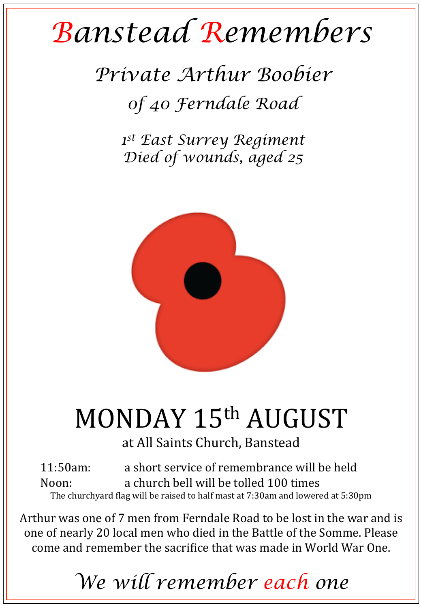## *Banstead Remembers*

## *Private Arthur Boobier 0f 40 Ferndale Road*

*1st East Surrey Regiment Died of wounds, aged 25* 



## MONDAY 15th AUGUST

at All Saints Church, Banstead

11:50am: a short service of remembrance will be held Noon: a church bell will be tolled 100 times The churchyard flag will be raised to half mast at 7:30am and lowered at 5:30pm

Arthur was one of 7 men from Ferndale Road to be lost in the war and is one of nearly 20 local men who died in the Battle of the Somme. Please come and remember the sacrifice that was made in World War One.

*We will remember each one*